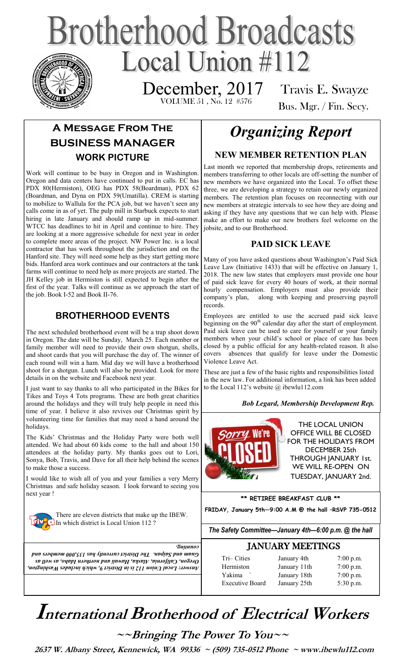# **Brotherhood Broadcasts** Local Union  $\#112$

 VOLUME 51 , No. 12 #576 December, 2017

Travis E. Swayze Bus. Mgr. / Fin. Secy.

## **A Message From The BUSINESS MANAGER WORK PICTURE**

Work will continue to be busy in Oregon and in Washington. Oregon and data centers have continued to put in calls. EC has PDX 80(Hermiston), OEG has PDX 58(Boardman), PDX 62 (Boardman, and Dyna on PDX 59(Umatilla). CREM is starting to mobilize to Wallula for the PCA job, but we haven't seen any calls come in as of yet. The pulp mill in Starbuck expects to start hiring in late January and should ramp up in mid-summer. WTCC has deadlines to hit in April and continue to hire. They are looking at a more aggressive schedule for next year in order to complete more areas of the project. NW Power Inc. is a local contractor that has work throughout the jurisdiction and on the Hanford site. They will need some help as they start getting more bids. Hanford area work continues and our contractors at the tank farms will continue to need help as more projects are started. The JH Kelley job in Hermiston is still expected to begin after the first of the year. Talks will continue as we approach the start of the job. Book I-52 and Book II-76.

### **BROTHERHOOD EVENTS**

The next scheduled brotherhood event will be a trap shoot down in Oregon. The date will be Sunday, March 25. Each member or family member will need to provide their own shotgun, shells, and shoot cards that you will purchase the day of. The winner of each round will win a ham. Mid day we will have a brotherhood shoot for a shotgun. Lunch will also be provided. Look for more details in on the website and Facebook next year.

I just want to say thanks to all who participated in the Bikes for Tikes and Toys 4 Tots programs. These are both great charities around the holidays and they will truly help people in need this time of year. I believe it also revives our Christmas spirit by volunteering time for families that may need a hand around the holidays.

The Kids' Christmas and the Holiday Party were both well attended. We had about 60 kids come to the hall and about 150 attendees at the holiday party. My thanks goes out to Lori, Sonya, Bob, Travis, and Dave for all their help behind the scenes to make those a success.

I would like to wish all of you and your families a very Merry Christmas and safe holiday season. I look forward to seeing you next year !



There are eleven districts that make up the IBEW. In which district is Local Union 112?

# *Organizing Report*

### **NEW MEMBER RETENTION PLAN**

Last month we reported that membership drops, retirements and members transferring to other locals are off-setting the number of new members we have organized into the Local. To offset these three, we are developing a strategy to retain our newly organized members. The retention plan focuses on reconnecting with our new members at strategic intervals to see how they are doing and asking if they have any questions that we can help with. Please make an effort to make our new brothers feel welcome on the jobsite, and to our Brotherhood.

### **PAID SICK LEAVE**

Many of you have asked questions about Washington's Paid Sick Leave Law (Initiative 1433) that will be effective on January 1, 2018. The new law states that employers must provide one hour of paid sick leave for every 40 hours of work, at their normal hourly compensation. Employers must also provide their company's plan, along with keeping and preserving payroll records.

Employees are entitled to use the accrued paid sick leave beginning on the  $90<sup>th</sup>$  calendar day after the start of employment. Paid sick leave can be used to care for yourself or your family members when your child's school or place of care has been closed by a public official for any health-related reason. It also covers absences that qualify for leave under the Domestic Violence Leave Act.

These are just a few of the basic rights and responsibilities listed in the new law. For additional information, a link has been added to the Local 112's website  $\omega$  ibewlu112.com

#### *Bob Legard, Membership Development Rep.*



**\*\* RETIREE BREAKFAST CLUB \*\***

**FRIDAY, January 5th—9:00 A.M @ the hall –RSVP 735-0512**

*The Safety Committee—January 4th—6:00 p.m. @ the hall*

| <i>Eununoo</i>                                                          |
|-------------------------------------------------------------------------|
| Quam and Saipan. The District currently has 135,000 members and         |
| <i>Oregon, California, Alaska, Hawaii and norther Idaho, as well as</i> |
| Answer: Local Union 112 is in District 9, which includes Washington,    |

| <b>JANUARY MEETINGS</b> |             |             |  |
|-------------------------|-------------|-------------|--|
| Tri-Cities              | January 4th | $7:00$ p.m. |  |

| $111 - 1115$           | Jaliual y 4th | $1.00 \mu$  |
|------------------------|---------------|-------------|
| Hermiston              | January 11th  | $7:00$ p.m. |
| Yakima                 | January 18th  | $7:00$ p.m. |
| <b>Executive Board</b> | January 25th  | $5:30$ p.m. |
|                        |               |             |

 $5:30$  p.m.

# **International Brotherhood of <sup>E</sup>lectrical Workers**

**~~Bringing The Power To You~~** 

 **2637 W. Albany Street, Kennewick, WA 99336 ~ (509) 735-0512 Phone ~ www.ibewlu112.com**